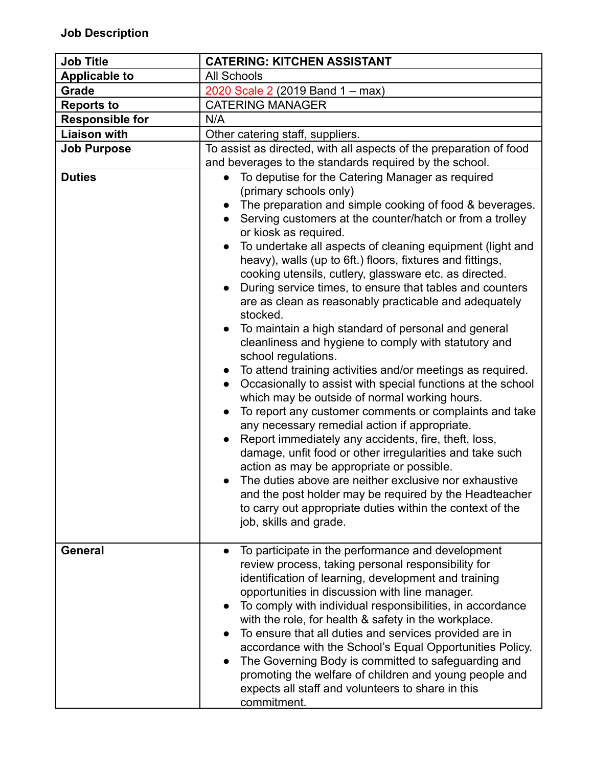| <b>Job Title</b>       | <b>CATERING: KITCHEN ASSISTANT</b>                                                                                                                                                                                                                                                                                                                                                                                                                                                                                                                                                                                                                                                                                                                                                                                                                                                                                                                                                                                                                                                                                                                                                                                                                                                                                                                                                               |  |  |
|------------------------|--------------------------------------------------------------------------------------------------------------------------------------------------------------------------------------------------------------------------------------------------------------------------------------------------------------------------------------------------------------------------------------------------------------------------------------------------------------------------------------------------------------------------------------------------------------------------------------------------------------------------------------------------------------------------------------------------------------------------------------------------------------------------------------------------------------------------------------------------------------------------------------------------------------------------------------------------------------------------------------------------------------------------------------------------------------------------------------------------------------------------------------------------------------------------------------------------------------------------------------------------------------------------------------------------------------------------------------------------------------------------------------------------|--|--|
| <b>Applicable to</b>   | <b>All Schools</b>                                                                                                                                                                                                                                                                                                                                                                                                                                                                                                                                                                                                                                                                                                                                                                                                                                                                                                                                                                                                                                                                                                                                                                                                                                                                                                                                                                               |  |  |
| Grade                  | 2020 Scale 2 (2019 Band 1 – max)                                                                                                                                                                                                                                                                                                                                                                                                                                                                                                                                                                                                                                                                                                                                                                                                                                                                                                                                                                                                                                                                                                                                                                                                                                                                                                                                                                 |  |  |
| <b>Reports to</b>      | <b>CATERING MANAGER</b>                                                                                                                                                                                                                                                                                                                                                                                                                                                                                                                                                                                                                                                                                                                                                                                                                                                                                                                                                                                                                                                                                                                                                                                                                                                                                                                                                                          |  |  |
| <b>Responsible for</b> | N/A                                                                                                                                                                                                                                                                                                                                                                                                                                                                                                                                                                                                                                                                                                                                                                                                                                                                                                                                                                                                                                                                                                                                                                                                                                                                                                                                                                                              |  |  |
| <b>Liaison with</b>    | Other catering staff, suppliers.                                                                                                                                                                                                                                                                                                                                                                                                                                                                                                                                                                                                                                                                                                                                                                                                                                                                                                                                                                                                                                                                                                                                                                                                                                                                                                                                                                 |  |  |
| <b>Job Purpose</b>     | To assist as directed, with all aspects of the preparation of food<br>and beverages to the standards required by the school.                                                                                                                                                                                                                                                                                                                                                                                                                                                                                                                                                                                                                                                                                                                                                                                                                                                                                                                                                                                                                                                                                                                                                                                                                                                                     |  |  |
| <b>Duties</b>          | To deputise for the Catering Manager as required<br>$\bullet$<br>(primary schools only)<br>The preparation and simple cooking of food & beverages.<br>Serving customers at the counter/hatch or from a trolley<br>or kiosk as required.<br>To undertake all aspects of cleaning equipment (light and<br>$\bullet$<br>heavy), walls (up to 6ft.) floors, fixtures and fittings,<br>cooking utensils, cutlery, glassware etc. as directed.<br>During service times, to ensure that tables and counters<br>are as clean as reasonably practicable and adequately<br>stocked.<br>To maintain a high standard of personal and general<br>cleanliness and hygiene to comply with statutory and<br>school regulations.<br>To attend training activities and/or meetings as required.<br>Occasionally to assist with special functions at the school<br>which may be outside of normal working hours.<br>To report any customer comments or complaints and take<br>$\bullet$<br>any necessary remedial action if appropriate.<br>Report immediately any accidents, fire, theft, loss,<br>damage, unfit food or other irregularities and take such<br>action as may be appropriate or possible.<br>The duties above are neither exclusive nor exhaustive<br>and the post holder may be required by the Headteacher<br>to carry out appropriate duties within the context of the<br>job, skills and grade. |  |  |
| <b>General</b>         | To participate in the performance and development<br>review process, taking personal responsibility for<br>identification of learning, development and training<br>opportunities in discussion with line manager.<br>To comply with individual responsibilities, in accordance<br>with the role, for health & safety in the workplace.<br>To ensure that all duties and services provided are in<br>accordance with the School's Equal Opportunities Policy.<br>The Governing Body is committed to safeguarding and<br>promoting the welfare of children and young people and<br>expects all staff and volunteers to share in this<br>commitment.                                                                                                                                                                                                                                                                                                                                                                                                                                                                                                                                                                                                                                                                                                                                                |  |  |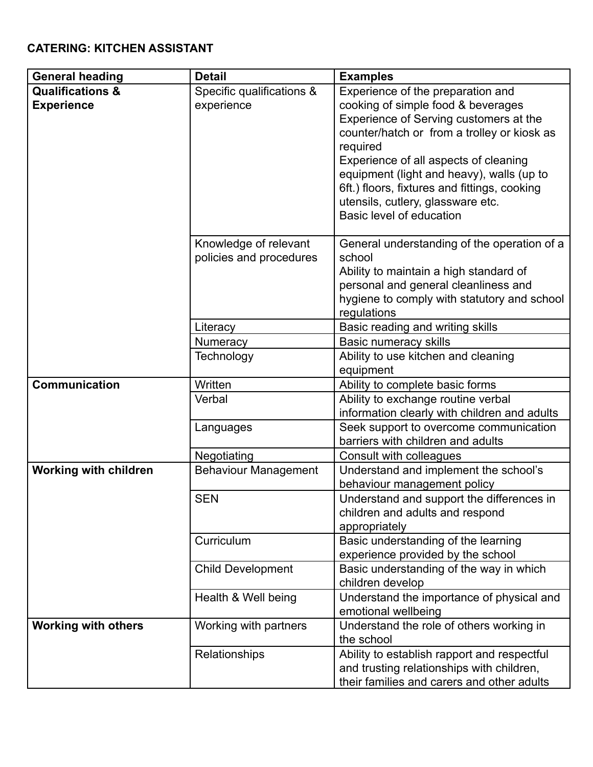## **CATERING: KITCHEN ASSISTANT**

| <b>General heading</b>       | <b>Detail</b>               | <b>Examples</b>                                                             |
|------------------------------|-----------------------------|-----------------------------------------------------------------------------|
| <b>Qualifications &amp;</b>  | Specific qualifications &   | Experience of the preparation and                                           |
| <b>Experience</b>            | experience                  | cooking of simple food & beverages                                          |
|                              |                             | Experience of Serving customers at the                                      |
|                              |                             | counter/hatch or from a trolley or kiosk as                                 |
|                              |                             | required                                                                    |
|                              |                             | Experience of all aspects of cleaning                                       |
|                              |                             | equipment (light and heavy), walls (up to                                   |
|                              |                             | 6ft.) floors, fixtures and fittings, cooking                                |
|                              |                             | utensils, cutlery, glassware etc.                                           |
|                              |                             | Basic level of education                                                    |
|                              | Knowledge of relevant       | General understanding of the operation of a                                 |
|                              | policies and procedures     | school                                                                      |
|                              |                             | Ability to maintain a high standard of                                      |
|                              |                             | personal and general cleanliness and                                        |
|                              |                             | hygiene to comply with statutory and school                                 |
|                              |                             | regulations                                                                 |
|                              | Literacy                    | Basic reading and writing skills                                            |
|                              | <b>Numeracy</b>             | <b>Basic numeracy skills</b>                                                |
|                              | Technology                  | Ability to use kitchen and cleaning                                         |
|                              |                             | equipment                                                                   |
| <b>Communication</b>         | Written                     | Ability to complete basic forms                                             |
|                              | Verbal                      | Ability to exchange routine verbal                                          |
|                              |                             | information clearly with children and adults                                |
|                              | Languages                   | Seek support to overcome communication<br>barriers with children and adults |
|                              | Negotiating                 | Consult with colleagues                                                     |
| <b>Working with children</b> | <b>Behaviour Management</b> | Understand and implement the school's                                       |
|                              |                             | behaviour management policy                                                 |
|                              | <b>SEN</b>                  | Understand and support the differences in                                   |
|                              |                             | children and adults and respond                                             |
|                              |                             | appropriately                                                               |
|                              | Curriculum                  | Basic understanding of the learning                                         |
|                              |                             | experience provided by the school                                           |
|                              | <b>Child Development</b>    | Basic understanding of the way in which                                     |
|                              |                             | children develop                                                            |
|                              | Health & Well being         | Understand the importance of physical and                                   |
|                              |                             | emotional wellbeing                                                         |
| <b>Working with others</b>   | Working with partners       | Understand the role of others working in                                    |
|                              |                             | the school                                                                  |
|                              | Relationships               | Ability to establish rapport and respectful                                 |
|                              |                             | and trusting relationships with children,                                   |
|                              |                             | their families and carers and other adults                                  |